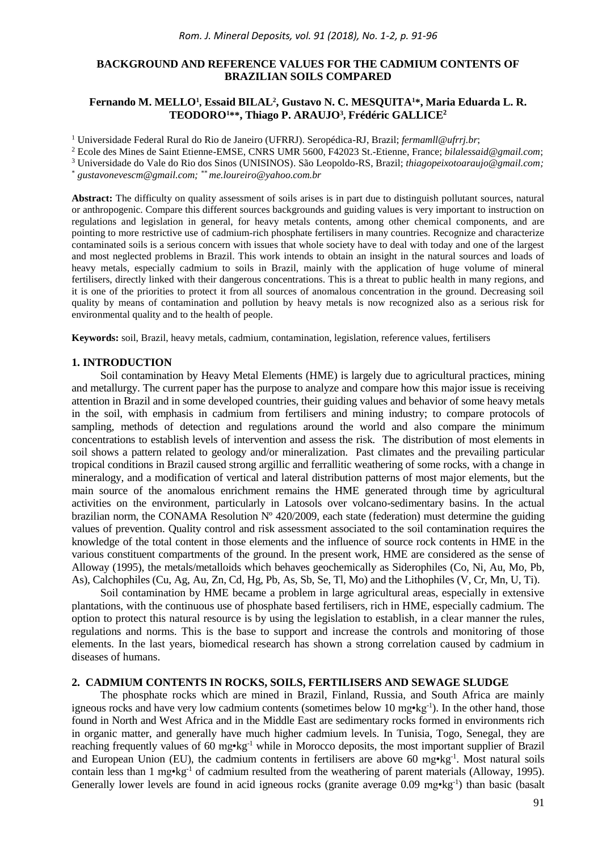# **BACKGROUND AND REFERENCE VALUES FOR THE CADMIUM CONTENTS OF BRAZILIAN SOILS COMPARED**

## **Fernando M. MELLO<sup>1</sup> , Essaid BILAL<sup>2</sup> , Gustavo N. C. MESQUITA<sup>1</sup>\*, Maria Eduarda L. R. TEODORO<sup>1</sup>\*\*, Thiago P. ARAUJO<sup>3</sup> , Frédéric GALLICE<sup>2</sup>**

<sup>1</sup> Universidade Federal Rural do Rio de Janeiro (UFRRJ). Seropédica-RJ, Brazil; *fermamll@ufrrj.br*;

<sup>2</sup> Ecole des Mines de Saint Etienne-EMSE, CNRS UMR 5600, F42023 St.-Etienne, France; *bilalessaid@gmail.com*;

<sup>3</sup> Universidade do Vale do Rio dos Sinos (UNISINOS). São Leopoldo-RS, Brazil; *thiagopeixotoaraujo@gmail.com;*

\* *gustavonevescm@gmail.com; \*\* me.loureiro@yahoo.com.br*

**Abstract:** The difficulty on quality assessment of soils arises is in part due to distinguish pollutant sources, natural or anthropogenic. Compare this different sources backgrounds and guiding values is very important to instruction on regulations and legislation in general, for heavy metals contents, among other chemical components, and are pointing to more restrictive use of cadmium-rich phosphate fertilisers in many countries. Recognize and characterize contaminated soils is a serious concern with issues that whole society have to deal with today and one of the largest and most neglected problems in Brazil. This work intends to obtain an insight in the natural sources and loads of heavy metals, especially cadmium to soils in Brazil, mainly with the application of huge volume of mineral fertilisers, directly linked with their dangerous concentrations. This is a threat to public health in many regions, and it is one of the priorities to protect it from all sources of anomalous concentration in the ground. Decreasing soil quality by means of contamination and pollution by heavy metals is now recognized also as a serious risk for environmental quality and to the health of people.

**Keywords:** soil, Brazil, heavy metals, cadmium, contamination, legislation, reference values, fertilisers

## **1. INTRODUCTION**

Soil contamination by Heavy Metal Elements (HME) is largely due to agricultural practices, mining and metallurgy. The current paper has the purpose to analyze and compare how this major issue is receiving attention in Brazil and in some developed countries, their guiding values and behavior of some heavy metals in the soil, with emphasis in cadmium from fertilisers and mining industry; to compare protocols of sampling, methods of detection and regulations around the world and also compare the minimum concentrations to establish levels of intervention and assess the risk. The distribution of most elements in soil shows a pattern related to geology and/or mineralization. Past climates and the prevailing particular tropical conditions in Brazil caused strong argillic and ferrallitic weathering of some rocks, with a change in mineralogy, and a modification of vertical and lateral distribution patterns of most major elements, but the main source of the anomalous enrichment remains the HME generated through time by agricultural activities on the environment, particularly in Latosols over volcano-sedimentary basins. In the actual brazilian norm, the CONAMA Resolution Nº 420/2009, each state (federation) must determine the guiding values of prevention. Quality control and risk assessment associated to the soil contamination requires the knowledge of the total content in those elements and the influence of source rock contents in HME in the various constituent compartments of the ground. In the present work, HME are considered as the sense of Alloway (1995), the metals/metalloids which behaves geochemically as Siderophiles (Co, Ni, Au, Mo, Pb, As), Calchophiles (Cu, Ag, Au, Zn, Cd, Hg, Pb, As, Sb, Se, Tl, Mo) and the Lithophiles (V, Cr, Mn, U, Ti).

Soil contamination by HME became a problem in large agricultural areas, especially in extensive plantations, with the continuous use of phosphate based fertilisers, rich in HME, especially cadmium. The option to protect this natural resource is by using the legislation to establish, in a clear manner the rules, regulations and norms. This is the base to support and increase the controls and monitoring of those elements. In the last years, biomedical research has shown a strong correlation caused by cadmium in diseases of humans.

# **2. CADMIUM CONTENTS IN ROCKS, SOILS, FERTILISERS AND SEWAGE SLUDGE**

The phosphate rocks which are mined in Brazil, Finland, Russia, and South Africa are mainly igneous rocks and have very low cadmium contents (sometimes below 10 mg•kg<sup>-1</sup>). In the other hand, those found in North and West Africa and in the Middle East are sedimentary rocks formed in environments rich in organic matter, and generally have much higher cadmium levels. In Tunisia, Togo, Senegal, they are reaching frequently values of 60 mg•kg-1 while in Morocco deposits, the most important supplier of Brazil and European Union (EU), the cadmium contents in fertilisers are above 60 mg•kg<sup>-1</sup>. Most natural soils contain less than  $1 \text{ mg} \cdot \text{kg}^{-1}$  of cadmium resulted from the weathering of parent materials (Alloway, 1995). Generally lower levels are found in acid igneous rocks (granite average 0.09 mg•kg<sup>-1</sup>) than basic (basalt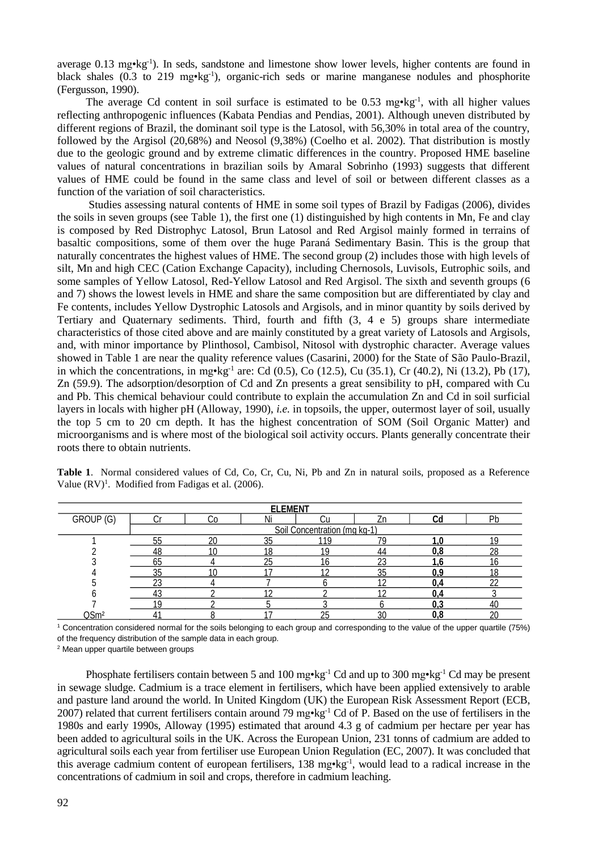average 0.13 mg•kg<sup>-1</sup>). In seds, sandstone and limestone show lower levels, higher contents are found in black shales (0.3 to 219 mg·kg<sup>-1</sup>), organic-rich seds or marine manganese nodules and phosphorite (Fergusson, 1990).

The average Cd content in soil surface is estimated to be 0.53 mg $\cdot$ kg<sup>-1</sup>, with all higher values reflecting anthropogenic influences (Kabata Pendias and Pendias, 2001). Although uneven distributed by different regions of Brazil, the dominant soil type is the Latosol, with 56,30% in total area of the country, followed by the Argisol (20,68%) and Neosol (9,38%) (Coelho et al. 2002). That distribution is mostly due to the geologic ground and by extreme climatic differences in the country. Proposed HME baseline values of natural concentrations in brazilian soils by Amaral Sobrinho (1993) suggests that different values of HME could be found in the same class and level of soil or between different classes as a function of the variation of soil characteristics.

Studies assessing natural contents of HME in some soil types of Brazil by Fadigas (2006), divides the soils in seven groups (see Table 1), the first one (1) distinguished by high contents in Mn, Fe and clay is composed by Red Distrophyc Latosol, Brun Latosol and Red Argisol mainly formed in terrains of basaltic compositions, some of them over the huge Paraná Sedimentary Basin. This is the group that naturally concentrates the highest values of HME. The second group (2) includes those with high levels of silt, Mn and high CEC (Cation Exchange Capacity), including Chernosols, Luvisols, Eutrophic soils, and some samples of Yellow Latosol, Red-Yellow Latosol and Red Argisol. The sixth and seventh groups (6 and 7) shows the lowest levels in HME and share the same composition but are differentiated by clay and Fe contents, includes Yellow Dystrophic Latosols and Argisols, and in minor quantity by soils derived by Tertiary and Quaternary sediments. Third, fourth and fifth (3, 4 e 5) groups share intermediate characteristics of those cited above and are mainly constituted by a great variety of Latosols and Argisols, and, with minor importance by Plinthosol, Cambisol, Nitosol with dystrophic character. Average values showed in Table 1 are near the quality reference values (Casarini, 2000) for the State of São Paulo-Brazil, in which the concentrations, in mg $\cdot$ kg<sup>-1</sup> are: Cd (0.5), Co (12.5), Cu (35.1), Cr (40.2), Ni (13.2), Pb (17), Zn (59.9). The adsorption/desorption of Cd and Zn presents a great sensibility to pH, compared with Cu and Pb. This chemical behaviour could contribute to explain the accumulation Zn and Cd in soil surficial layers in locals with higher pH (Alloway, 1990), *i.e.* in topsoils, the upper, outermost layer of soil, usually the top 5 cm to 20 cm depth. It has the highest concentration of SOM (Soil Organic Matter) and microorganisms and is where most of the biological soil activity occurs. Plants generally concentrate their roots there to obtain nutrients.

|  | Table 1. Normal considered values of Cd, Co, Cr, Cu, Ni, Pb and Zn in natural soils, proposed as a Reference |  |  |  |  |  |  |  |
|--|--------------------------------------------------------------------------------------------------------------|--|--|--|--|--|--|--|
|  | Value $(RV)^1$ . Modified from Fadigas et al. (2006).                                                        |  |  |  |  |  |  |  |

| <b>ELEMENT</b>   |                              |        |    |     |    |     |    |  |  |  |  |
|------------------|------------------------------|--------|----|-----|----|-----|----|--|--|--|--|
| GROUP (G)        |                              | υu     |    |     |    |     | Ph |  |  |  |  |
|                  | Soil Concentration (mg kg-1) |        |    |     |    |     |    |  |  |  |  |
|                  | 55                           | $\sim$ | 21 | 119 | 7G |     |    |  |  |  |  |
|                  | 18                           |        | 18 |     | 44 |     | 28 |  |  |  |  |
|                  | 65                           |        | 25 | 6   | 23 |     |    |  |  |  |  |
|                  | კე                           |        |    |     | კე |     |    |  |  |  |  |
|                  | دے                           |        |    |     |    |     | າາ |  |  |  |  |
|                  |                              |        |    |     |    |     |    |  |  |  |  |
|                  |                              |        |    |     |    | u.u |    |  |  |  |  |
| QSm <sup>2</sup> |                              |        |    | - L | 30 |     | ററ |  |  |  |  |

<sup>1</sup> Concentration considered normal for the soils belonging to each group and corresponding to the value of the upper quartile (75%) of the frequency distribution of the sample data in each group.

<sup>2</sup> Mean upper quartile between groups

Phosphate fertilisers contain between 5 and 100 mg•kg<sup>-1</sup> Cd and up to 300 mg•kg<sup>-1</sup> Cd may be present in sewage sludge. Cadmium is a trace element in fertilisers, which have been applied extensively to arable and pasture land around the world. In United Kingdom (UK) the European Risk Assessment Report (ECB, 2007) related that current fertilisers contain around 79 mg•kg<sup>-1</sup> Cd of P. Based on the use of fertilisers in the 1980s and early 1990s, Alloway (1995) estimated that around 4.3 g of cadmium per hectare per year has been added to agricultural soils in the UK. Across the European Union, 231 tonns of cadmium are added to agricultural soils each year from fertiliser use European Union Regulation (EC, 2007). It was concluded that this average cadmium content of european fertilisers, 138 mg·kg<sup>-1</sup>, would lead to a radical increase in the concentrations of cadmium in soil and crops, therefore in cadmium leaching.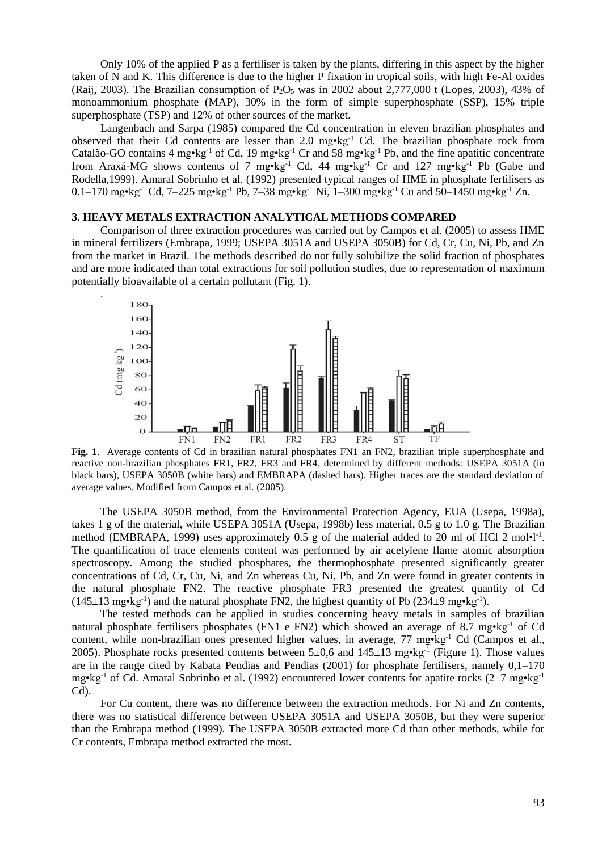Only 10% of the applied P as a fertiliser is taken by the plants, differing in this aspect by the higher taken of N and K. This difference is due to the higher P fixation in tropical soils, with high Fe-Al oxides (Raij, 2003). The Brazilian consumption of  $P_2O_5$  was in 2002 about 2,777,000 t (Lopes, 2003), 43% of monoammonium phosphate (MAP), 30% in the form of simple superphosphate (SSP), 15% triple superphosphate (TSP) and 12% of other sources of the market.

Langenbach and Sarpa (1985) compared the Cd concentration in eleven brazilian phosphates and observed that their Cd contents are lesser than 2.0 mg•kg-1 Cd. The brazilian phosphate rock from Catalão-GO contains 4 mg•kg<sup>-1</sup> of Cd, 19 mg•kg<sup>-1</sup> Cr and 58 mg•kg<sup>-1</sup> Pb, and the fine apatitic concentrate from Araxá-MG shows contents of 7 mg•kg<sup>-1</sup> Cd, 44 mg•kg<sup>-1</sup> Cr and 127 mg•kg<sup>-1</sup> Pb (Gabe and Rodella,1999). Amaral Sobrinho et al. (1992) presented typical ranges of HME in phosphate fertilisers as 0.1–170 mg•kg-1 Cd, 7–225 mg•kg-1 Pb, 7–38 mg•kg-1 Ni, 1–300 mg•kg-1 Cu and 50–1450 mg•kg-1 Zn.

# **3. HEAVY METALS EXTRACTION ANALYTICAL METHODS COMPARED**

.

Comparison of three extraction procedures was carried out by Campos et al. (2005) to assess HME in mineral fertilizers (Embrapa, 1999; USEPA 3051A and USEPA 3050B) for Cd, Cr, Cu, Ni, Pb, and Zn from the market in Brazil. The methods described do not fully solubilize the solid fraction of phosphates and are more indicated than total extractions for soil pollution studies, due to representation of maximum potentially bioavailable of a certain pollutant (Fig. 1).



**Fig. 1**. Average contents of Cd in brazilian natural phosphates FN1 an FN2, brazilian triple superphosphate and reactive non-brazilian phosphates FR1, FR2, FR3 and FR4, determined by different methods: USEPA 3051A (in black bars), USEPA 3050B (white bars) and EMBRAPA (dashed bars). Higher traces are the standard deviation of average values. Modified from Campos et al. (2005).

The USEPA 3050B method, from the Environmental Protection Agency, EUA (Usepa, 1998a), takes 1 g of the material, while USEPA 3051A (Usepa, 1998b) less material, 0.5 g to 1.0 g. The Brazilian method (EMBRAPA, 1999) uses approximately 0.5 g of the material added to 20 ml of HCl 2 mol•l<sup>-1</sup>. The quantification of trace elements content was performed by air acetylene flame atomic absorption spectroscopy. Among the studied phosphates, the thermophosphate presented significantly greater concentrations of Cd, Cr, Cu, Ni, and Zn whereas Cu, Ni, Pb, and Zn were found in greater contents in the natural phosphate FN2. The reactive phosphate FR3 presented the greatest quantity of Cd  $(145\pm 13 \text{ mg} \cdot \text{kg}^{-1})$  and the natural phosphate FN2, the highest quantity of Pb  $(234\pm 9 \text{ mg} \cdot \text{kg}^{-1})$ .

The tested methods can be applied in studies concerning heavy metals in samples of brazilian natural phosphate fertilisers phosphates (FN1 e FN2) which showed an average of 8.7 mg•kg<sup>-1</sup> of Cd content, while non-brazilian ones presented higher values, in average, 77 mg•kg<sup>-1</sup> Cd (Campos et al., 2005). Phosphate rocks presented contents between  $5\pm 0.6$  and  $145\pm 13$  mg $\cdot$ kg<sup>-1</sup> (Figure 1). Those values are in the range cited by Kabata Pendias and Pendias (2001) for phosphate fertilisers, namely 0,1–170 mg•kg<sup>-1</sup> of Cd. Amaral Sobrinho et al. (1992) encountered lower contents for apatite rocks (2–7 mg•kg<sup>-1</sup> Cd).

For Cu content, there was no difference between the extraction methods. For Ni and Zn contents, there was no statistical difference between USEPA 3051A and USEPA 3050B, but they were superior than the Embrapa method (1999). The USEPA 3050B extracted more Cd than other methods, while for Cr contents, Embrapa method extracted the most.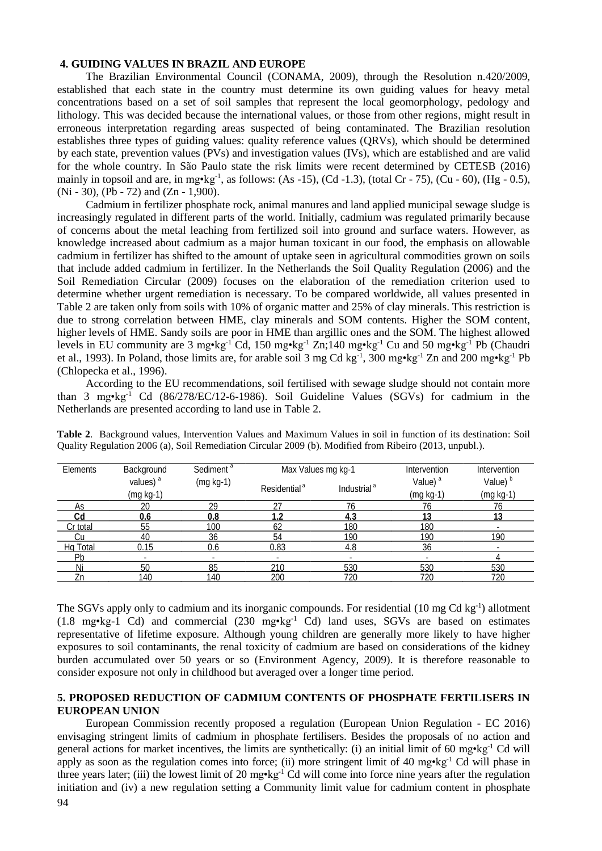# **4. GUIDING VALUES IN BRAZIL AND EUROPE**

The Brazilian Environmental Council (CONAMA, 2009), through the Resolution n.420/2009, established that each state in the country must determine its own guiding values for heavy metal concentrations based on a set of soil samples that represent the local geomorphology, pedology and lithology. This was decided because the international values, or those from other regions, might result in erroneous interpretation regarding areas suspected of being contaminated. The Brazilian resolution establishes three types of guiding values: quality reference values (QRVs), which should be determined by each state, prevention values (PVs) and investigation values (IVs), which are established and are valid for the whole country. In São Paulo state the risk limits were recent determined by CETESB (2016) mainly in topsoil and are, in mg $\cdot$ kg<sup>-1</sup>, as follows: (As -15), (Cd -1.3), (total Cr - 75), (Cu - 60), (Hg - 0.5), (Ni - 30), (Pb - 72) and (Zn - 1,900).

Cadmium in fertilizer phosphate rock, animal manures and land applied municipal sewage sludge is increasingly regulated in different parts of the world. Initially, cadmium was regulated primarily because of concerns about the metal leaching from fertilized soil into ground and surface waters. However, as knowledge increased about cadmium as a major human toxicant in our food, the emphasis on allowable cadmium in fertilizer has shifted to the amount of uptake seen in agricultural commodities grown on soils that include added cadmium in fertilizer. In the Netherlands the Soil Quality Regulation (2006) and the Soil Remediation Circular (2009) focuses on the elaboration of the remediation criterion used to determine whether urgent remediation is necessary. To be compared worldwide, all values presented in Table 2 are taken only from soils with 10% of organic matter and 25% of clay minerals. This restriction is due to strong correlation between HME, clay minerals and SOM contents. Higher the SOM content, higher levels of HME. Sandy soils are poor in HME than argillic ones and the SOM. The highest allowed levels in EU community are 3 mg•kg-1 Cd, 150 mg•kg-1 Zn;140 mg•kg-1 Cu and 50 mg•kg-1 Pb (Chaudri et al., 1993). In Poland, those limits are, for arable soil 3 mg Cd kg<sup>-1</sup>, 300 mg•kg<sup>-1</sup> Zn and 200 mg•kg<sup>-1</sup> Pb (Chlopecka et al., 1996).

According to the EU recommendations, soil fertilised with sewage sludge should not contain more than 3 mg•kg<sup>-1</sup> Cd (86/278/EC/12-6-1986). Soil Guideline Values (SGVs) for cadmium in the Netherlands are presented according to land use in Table 2.

| Elements | Background           | Sediment <sup>a</sup> | Max Values mg kg-1       |                         | Intervention        | Intervention        |  |
|----------|----------------------|-----------------------|--------------------------|-------------------------|---------------------|---------------------|--|
|          | values) <sup>a</sup> | $(mg kg-1)$           | Residential <sup>a</sup> | Industrial <sup>a</sup> | Value) <sup>a</sup> | Value) <sup>b</sup> |  |
|          | (mg kg-1)            |                       |                          |                         | $(mg kg-1)$         | (mg kg-1)           |  |
| As       | 20                   | 29                    | 27                       | 76                      | 76                  | 76                  |  |
| Cd       | 0.6                  | 0.8                   | 1.2                      | 4.3                     | 13                  | 13                  |  |
| Cr total | 55                   | 100                   | 62                       | 180                     | 180                 |                     |  |
|          | 40                   | 36                    | 54                       | 190                     | 190                 | 190                 |  |
| Hg Total | 0.15                 | 0.6                   | 0.83                     | 4.8                     | 36                  |                     |  |
| Pb       |                      | -                     |                          |                         |                     |                     |  |
| Ni       | 50                   | 85                    | 210                      | 530                     | 530                 | 530                 |  |
| Zn       | 140                  | 140                   | 200                      | 720                     | 720                 | 720                 |  |

**Table 2**. Background values, Intervention Values and Maximum Values in soil in function of its destination: Soil Quality Regulation 2006 (a), Soil Remediation Circular 2009 (b). Modified from Ribeiro (2013, unpubl.).

The SGVs apply only to cadmium and its inorganic compounds. For residential (10 mg Cd kg<sup>-1</sup>) allotment  $(1.8 \text{ mg} \cdot \text{kg} \cdot 1 \text{ Cd})$  and commercial  $(230 \text{ mg} \cdot \text{kg} \cdot 1 \text{ Cd})$  land uses, SGVs are based on estimates representative of lifetime exposure. Although young children are generally more likely to have higher exposures to soil contaminants, the renal toxicity of cadmium are based on considerations of the kidney burden accumulated over 50 years or so (Environment Agency, 2009). It is therefore reasonable to consider exposure not only in childhood but averaged over a longer time period.

# **5. PROPOSED REDUCTION OF CADMIUM CONTENTS OF PHOSPHATE FERTILISERS IN EUROPEAN UNION**

European Commission recently proposed a regulation (European Union Regulation - EC 2016) envisaging stringent limits of cadmium in phosphate fertilisers. Besides the proposals of no action and general actions for market incentives, the limits are synthetically: (i) an initial limit of 60 mg•kg<sup>-1</sup> Cd will apply as soon as the regulation comes into force; (ii) more stringent limit of 40 mg•kg<sup>-1</sup> Cd will phase in three years later; (iii) the lowest limit of 20 mg•kg<sup>-1</sup> Cd will come into force nine years after the regulation initiation and (iv) a new regulation setting a Community limit value for cadmium content in phosphate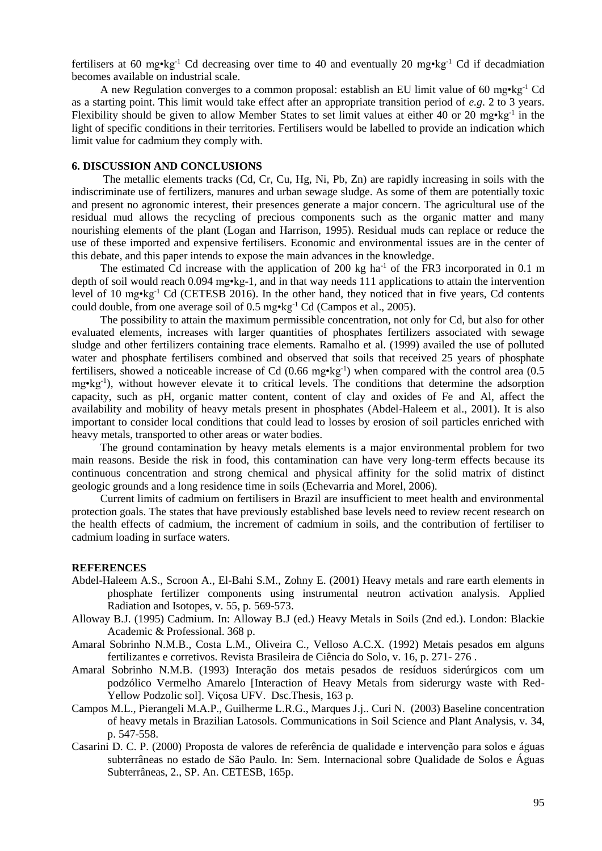fertilisers at 60 mg•kg<sup>-1</sup> Cd decreasing over time to 40 and eventually 20 mg•kg<sup>-1</sup> Cd if decadmiation becomes available on industrial scale.

A new Regulation converges to a common proposal: establish an EU limit value of 60 mg $\cdot$ kg<sup>-1</sup> Cd as a starting point. This limit would take effect after an appropriate transition period of *e.g*. 2 to 3 years. Flexibility should be given to allow Member States to set limit values at either 40 or 20 mg•kg<sup>-1</sup> in the light of specific conditions in their territories. Fertilisers would be labelled to provide an indication which limit value for cadmium they comply with.

# **6. DISCUSSION AND CONCLUSIONS**

The metallic elements tracks (Cd, Cr, Cu, Hg, Ni, Pb, Zn) are rapidly increasing in soils with the indiscriminate use of fertilizers, manures and urban sewage sludge. As some of them are potentially toxic and present no agronomic interest, their presences generate a major concern. The agricultural use of the residual mud allows the recycling of precious components such as the organic matter and many nourishing elements of the plant (Logan and Harrison, 1995). Residual muds can replace or reduce the use of these imported and expensive fertilisers. Economic and environmental issues are in the center of this debate, and this paper intends to expose the main advances in the knowledge.

The estimated Cd increase with the application of 200 kg ha<sup>-1</sup> of the FR3 incorporated in 0.1 m depth of soil would reach 0.094 mg•kg-1, and in that way needs 111 applications to attain the intervention level of 10 mg•kg-1 Cd (CETESB 2016). In the other hand, they noticed that in five years, Cd contents could double, from one average soil of 0.5 mg $\text{kg}^{-1}$  Cd (Campos et al., 2005).

The possibility to attain the maximum permissible concentration, not only for Cd, but also for other evaluated elements, increases with larger quantities of phosphates fertilizers associated with sewage sludge and other fertilizers containing trace elements. Ramalho et al. (1999) availed the use of polluted water and phosphate fertilisers combined and observed that soils that received 25 years of phosphate fertilisers, showed a noticeable increase of Cd (0.66 mg·kg<sup>-1</sup>) when compared with the control area (0.5 mg•kg-1 ), without however elevate it to critical levels. The conditions that determine the adsorption capacity, such as pH, organic matter content, content of clay and oxides of Fe and Al, affect the availability and mobility of heavy metals present in phosphates (Abdel-Haleem et al., 2001). It is also important to consider local conditions that could lead to losses by erosion of soil particles enriched with heavy metals, transported to other areas or water bodies.

The ground contamination by heavy metals elements is a major environmental problem for two main reasons. Beside the risk in food, this contamination can have very long-term effects because its continuous concentration and strong chemical and physical affinity for the solid matrix of distinct geologic grounds and a long residence time in soils (Echevarria and Morel, 2006).

Current limits of cadmium on fertilisers in Brazil are insufficient to meet health and environmental protection goals. The states that have previously established base levels need to review recent research on the health effects of cadmium, the increment of cadmium in soils, and the contribution of fertiliser to cadmium loading in surface waters.

#### **REFERENCES**

- Abdel-Haleem A.S., Scroon A., El-Bahi S.M., Zohny E. (2001) Heavy metals and rare earth elements in phosphate fertilizer components using instrumental neutron activation analysis. Applied Radiation and Isotopes, v. 55, p. 569-573.
- Alloway B.J. (1995) Cadmium. In: Alloway B.J (ed.) Heavy Metals in Soils (2nd ed.). London: Blackie Academic & Professional. 368 p.
- Amaral Sobrinho N.M.B., Costa L.M., Oliveira C., Velloso A.C.X. (1992) Metais pesados em alguns fertilizantes e corretivos. Revista Brasileira de Ciência do Solo, v. 16, p. 271- 276 .
- Amaral Sobrinho N.M.B. (1993) Interação dos metais pesados de resíduos siderúrgicos com um podzólico Vermelho Amarelo [Interaction of Heavy Metals from siderurgy waste with Red-Yellow Podzolic sol]. Viçosa UFV. Dsc.Thesis, 163 p.
- Campos M.L., Pierangeli M.A.P., Guilherme L.R.G., Marques J.j.. Curi N. (2003) Baseline concentration of heavy metals in Brazilian Latosols. Communications in Soil Science and Plant Analysis, v. 34, p. 547-558.
- Casarini D. C. P. (2000) Proposta de valores de referência de qualidade e intervenção para solos e águas subterrâneas no estado de São Paulo. In: Sem. Internacional sobre Qualidade de Solos e Águas Subterrâneas, 2., SP. An. CETESB, 165p.